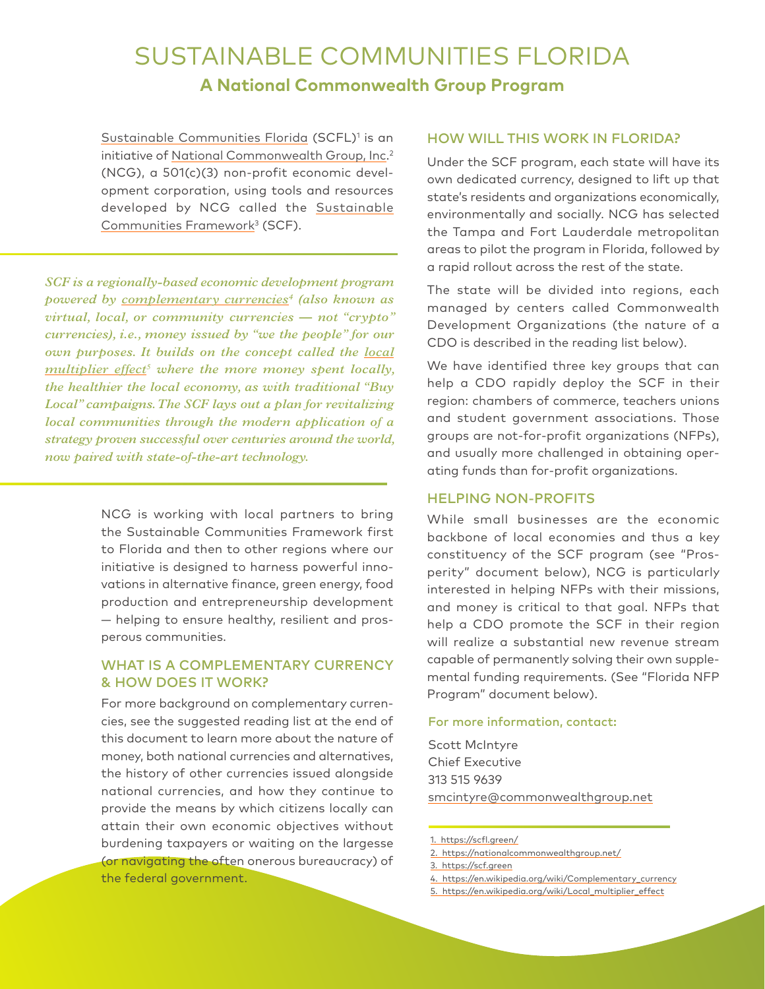## SUSTAINABLE COMMUNITIES FLORIDA **A National Commonwealth Group Program**

[Sustainable Communities Florida](https://scfl.green/) (SCFL)<sup>1</sup> is an initiative of [National Commonwealth Group, Inc](https://nationalcommonwealthgroup.net/). 2 (NCG), a 501(c)(3) non-profit economic development corporation, using tools and resources developed by NCG called the [Sustainable](https://scf.green) [Communities Framework](https://scf.green)<sup>3</sup> (SCF).

*SCF is a regionally-based economic development program powered by [complementary currencies](https://en.wikipedia.org/wiki/Complementary_currency)4 (also known as virtual, local, or community currencies — not "crypto" currencies), i.e., money issued by "we the people" for our own purposes. It builds on the concept called the [local](https://en.wikipedia.org/wiki/Local_multiplier_effect) [multiplier effect](https://en.wikipedia.org/wiki/Local_multiplier_effect)5 where the more money spent locally, the healthier the local economy, as with traditional "Buy Local" campaigns. The SCF lays out a plan for revitalizing local communities through the modern application of a strategy proven successful over centuries around the world, now paired with state-of-the-art technology.*

> NCG is working with local partners to bring the Sustainable Communities Framework first to Florida and then to other regions where our initiative is designed to harness powerful innovations in alternative finance, green energy, food production and entrepreneurship development — helping to ensure healthy, resilient and prosperous communities.

### WHAT IS A COMPLEMENTARY CURRENCY & HOW DOES IT WORK?

For more background on complementary currencies, see the suggested reading list at the end of this document to learn more about the nature of money, both national currencies and alternatives, the history of other currencies issued alongside national currencies, and how they continue to provide the means by which citizens locally can attain their own economic objectives without burdening taxpayers or waiting on the largesse (or navigating the often onerous bureaucracy) of the federal government.

#### HOW WILL THIS WORK IN FLORIDA?

Under the SCF program, each state will have its own dedicated currency, designed to lift up that state's residents and organizations economically, environmentally and socially. NCG has selected the Tampa and Fort Lauderdale metropolitan areas to pilot the program in Florida, followed by a rapid rollout across the rest of the state.

The state will be divided into regions, each managed by centers called Commonwealth Development Organizations (the nature of a CDO is described in the reading list below).

We have identified three key groups that can help a CDO rapidly deploy the SCF in their region: chambers of commerce, teachers unions and student government associations. Those groups are not-for-profit organizations (NFPs), and usually more challenged in obtaining operating funds than for-profit organizations.

#### HELPING NON-PROFITS

While small businesses are the economic backbone of local economies and thus a key constituency of the SCF program (see "Prosperity" document below), NCG is particularly interested in helping NFPs with their missions, and money is critical to that goal. NFPs that help a CDO promote the SCF in their region will realize a substantial new revenue stream capable of permanently solving their own supplemental funding requirements. (See "Florida NFP Program" document below).

#### For more information, contact:

Scott McIntyre Chief Executive 313 515 9639 smcintyr[e@commonwealthgroup.net](mailto:msauvante%40commonwealthgroup.net?subject=)

- 4. [https://en.wikipedia.org/wiki/Complementary\\_currency](https://en.wikipedia.org/wiki/Complementary_currency)
- 5. [https://en.wikipedia.org/wiki/Local\\_multiplier\\_effect](https://en.wikipedia.org/wiki/Local_multiplier_effect)

<sup>1.</sup> <https://scfl.green/>

<sup>2.</sup> <https://nationalcommonwealthgroup.net/>

<sup>3.</sup> <https://scf.green>